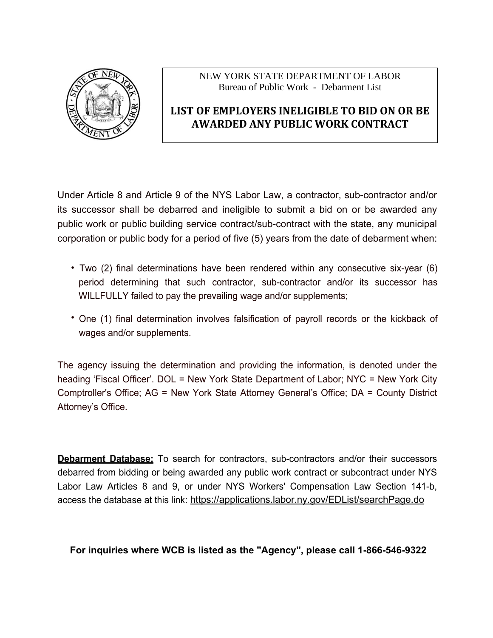

# **LIST OF EMPLOYERS INELIGIBLE TO BID ON OR BE AWARDED ANY PUBLIC WORK CONTRACT**

Under Article 8 and Article 9 of the NYS Labor Law, a contractor, sub-contractor and/or its successor shall be debarred and ineligible to submit a bid on or be awarded any public work or public building service contract/sub-contract with the state, any municipal corporation or public body for a period of five (5) years from the date of debarment when:

- Two (2) final determinations have been rendered within any consecutive six-year (6) period determining that such contractor, sub-contractor and/or its successor has WILLFULLY failed to pay the prevailing wage and/or supplements;
- One (1) final determination involves falsification of payroll records or the kickback of wages and/or supplements.

The agency issuing the determination and providing the information, is denoted under the heading 'Fiscal Officer'. DOL = New York State Department of Labor; NYC = New York City Comptroller's Office; AG = New York State Attorney General's Office; DA = County District Attorney's Office.

**Debarment Database:** To search for contractors, sub-contractors and/or their successors debarred from bidding or being awarded any public work contract or subcontract under NYS Labor Law Articles 8 and 9, or under NYS Workers' Compensation Law Section 141-b, access the database at this link: https://applications.labor.ny.gov/EDList/searchPage.do

## **For inquiries where WCB is listed as the "Agency", please call 1-866-546-9322**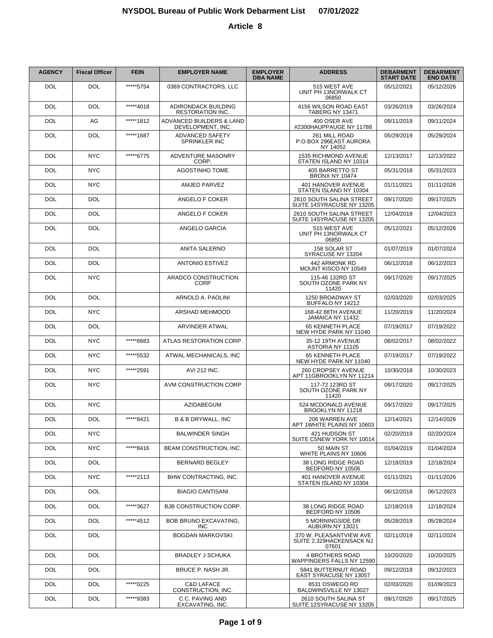| <b>AGENCY</b> | <b>Fiscal Officer</b> | <b>FEIN</b> | <b>EMPLOYER NAME</b>                           | <b>EMPLOYER</b><br><b>DBA NAME</b> | <b>ADDRESS</b>                                               | <b>DEBARMENT</b><br><b>START DATE</b> | <b>DEBARMENT</b><br><b>END DATE</b> |
|---------------|-----------------------|-------------|------------------------------------------------|------------------------------------|--------------------------------------------------------------|---------------------------------------|-------------------------------------|
| <b>DOL</b>    | <b>DOL</b>            | *****5754   | 0369 CONTRACTORS, LLC                          |                                    | 515 WEST AVE<br>UNIT PH 13NORWALK CT<br>06850                | 05/12/2021                            | 05/12/2026                          |
| DOL           | DOL                   | *****4018   | ADIRONDACK BUILDING<br><b>RESTORATION INC.</b> |                                    | 4156 WILSON ROAD EAST<br><b>TABERG NY 13471</b>              | 03/26/2019                            | 03/26/2024                          |
| DOL           | AG                    | *****1812   | ADVANCED BUILDERS & LAND<br>DEVELOPMENT, INC.  |                                    | 400 OSER AVE<br>#2300HAUPPAUGE NY 11788                      | 09/11/2019                            | 09/11/2024                          |
| DOL           | DOL                   | *****1687   | ADVANCED SAFETY<br><b>SPRINKLER INC</b>        |                                    | 261 MILL ROAD<br>P.O BOX 296EAST AURORA<br>NY 14052          | 05/29/2019                            | 05/29/2024                          |
| <b>DOL</b>    | <b>NYC</b>            | *****6775   | ADVENTURE MASONRY<br>CORP.                     |                                    | 1535 RICHMOND AVENUE<br>STATEN ISLAND NY 10314               | 12/13/2017                            | 12/13/2022                          |
| <b>DOL</b>    | <b>NYC</b>            |             | <b>AGOSTINHO TOME</b>                          |                                    | 405 BARRETTO ST<br><b>BRONX NY 10474</b>                     | 05/31/2018                            | 05/31/2023                          |
| <b>DOL</b>    | <b>NYC</b>            |             | AMJED PARVEZ                                   |                                    | 401 HANOVER AVENUE<br>STATEN ISLAND NY 10304                 | 01/11/2021                            | 01/11/2026                          |
| <b>DOL</b>    | <b>DOL</b>            |             | ANGELO F COKER                                 |                                    | 2610 SOUTH SALINA STREET<br>SUITE 14SYRACUSE NY 13205        | 09/17/2020                            | 09/17/2025                          |
| <b>DOL</b>    | <b>DOL</b>            |             | ANGELO F COKER                                 |                                    | 2610 SOUTH SALINA STREET<br>SUITE 14SYRACUSE NY 13205        | 12/04/2018                            | 12/04/2023                          |
| <b>DOL</b>    | <b>DOL</b>            |             | ANGELO GARCIA                                  |                                    | 515 WEST AVE<br>UNIT PH 13NORWALK CT<br>06850                | 05/12/2021                            | 05/12/2026                          |
| <b>DOL</b>    | <b>DOL</b>            |             | <b>ANITA SALERNO</b>                           |                                    | 158 SOLAR ST<br>SYRACUSE NY 13204                            | 01/07/2019                            | 01/07/2024                          |
| <b>DOL</b>    | <b>DOL</b>            |             | <b>ANTONIO ESTIVEZ</b>                         |                                    | 442 ARMONK RD<br>MOUNT KISCO NY 10549                        | 06/12/2018                            | 06/12/2023                          |
| <b>DOL</b>    | <b>NYC</b>            |             | ARADCO CONSTRUCTION<br><b>CORP</b>             |                                    | 115-46 132RD ST<br>SOUTH OZONE PARK NY<br>11420              | 09/17/2020                            | 09/17/2025                          |
| <b>DOL</b>    | <b>DOL</b>            |             | ARNOLD A. PAOLINI                              |                                    | 1250 BROADWAY ST<br>BUFFALO NY 14212                         | 02/03/2020                            | 02/03/2025                          |
| DOL           | <b>NYC</b>            |             | ARSHAD MEHMOOD                                 |                                    | 168-42 88TH AVENUE<br>JAMAICA NY 11432                       | 11/20/2019                            | 11/20/2024                          |
| <b>DOL</b>    | <b>DOL</b>            |             | ARVINDER ATWAL                                 |                                    | 65 KENNETH PLACE<br>NEW HYDE PARK NY 11040                   | 07/19/2017                            | 07/19/2022                          |
| DOL           | <b>NYC</b>            | *****6683   | ATLAS RESTORATION CORP.                        |                                    | 35-12 19TH AVENUE<br>ASTORIA NY 11105                        | 08/02/2017                            | 08/02/2022                          |
| DOL           | <b>NYC</b>            | *****5532   | ATWAL MECHANICALS, INC                         |                                    | 65 KENNETH PLACE<br>NEW HYDE PARK NY 11040                   | 07/19/2017                            | 07/19/2022                          |
| DOL           | <b>NYC</b>            | *****2591   | <b>AVI 212 INC.</b>                            |                                    | 260 CROPSEY AVENUE<br>APT 11GBROOKLYN NY 11214               | 10/30/2018                            | 10/30/2023                          |
| DOL           | <b>NYC</b>            |             | AVM CONSTRUCTION CORP                          |                                    | 117-72 123RD ST<br>SOUTH OZONE PARK NY<br>11420              | 09/17/2020                            | 09/17/2025                          |
| <b>DOL</b>    | <b>NYC</b>            |             | <b>AZIDABEGUM</b>                              |                                    | 524 MCDONALD AVENUE<br>BROOKLYN NY 11218                     | 09/17/2020                            | 09/17/2025                          |
| <b>DOL</b>    | <b>DOL</b>            | *****8421   | <b>B &amp; B DRYWALL, INC</b>                  |                                    | 206 WARREN AVE<br>APT 1WHITE PLAINS NY 10603                 | 12/14/2021                            | 12/14/2026                          |
| <b>DOL</b>    | <b>NYC</b>            |             | <b>BALWINDER SINGH</b>                         |                                    | 421 HUDSON ST<br>SUITE C5NEW YORK NY 10014                   | 02/20/2019                            | 02/20/2024                          |
| <b>DOL</b>    | <b>NYC</b>            | *****8416   | <b>BEAM CONSTRUCTION. INC.</b>                 |                                    | 50 MAIN ST<br>WHITE PLAINS NY 10606                          | 01/04/2019                            | 01/04/2024                          |
| <b>DOL</b>    | <b>DOL</b>            |             | <b>BERNARD BEGLEY</b>                          |                                    | 38 LONG RIDGE ROAD<br>BEDFORD NY 10506                       | 12/18/2019                            | 12/18/2024                          |
| <b>DOL</b>    | <b>NYC</b>            | *****2113   | <b>BHW CONTRACTING. INC.</b>                   |                                    | 401 HANOVER AVENUE<br>STATEN ISLAND NY 10304                 | 01/11/2021                            | 01/11/2026                          |
| <b>DOL</b>    | <b>DOL</b>            |             | <b>BIAGIO CANTISANI</b>                        |                                    |                                                              | 06/12/2018                            | 06/12/2023                          |
| <b>DOL</b>    | <b>DOL</b>            | *****3627   | <b>BJB CONSTRUCTION CORP.</b>                  |                                    | 38 LONG RIDGE ROAD<br>BEDFORD NY 10506                       | 12/18/2019                            | 12/18/2024                          |
| <b>DOL</b>    | <b>DOL</b>            | *****4512   | <b>BOB BRUNO EXCAVATING,</b><br><b>INC</b>     |                                    | 5 MORNINGSIDE DR<br>AUBURN NY 13021                          | 05/28/2019                            | 05/28/2024                          |
| <b>DOL</b>    | <b>DOL</b>            |             | <b>BOGDAN MARKOVSKI</b>                        |                                    | 370 W. PLEASANTVIEW AVE<br>SUITE 2.329HACKENSACK NJ<br>07601 | 02/11/2019                            | 02/11/2024                          |
| <b>DOL</b>    | <b>DOL</b>            |             | <b>BRADLEY J SCHUKA</b>                        |                                    | <b>4 BROTHERS ROAD</b><br>WAPPINGERS FALLS NY 12590          | 10/20/2020                            | 10/20/2025                          |
| <b>DOL</b>    | <b>DOL</b>            |             | BRUCE P. NASH JR.                              |                                    | 5841 BUTTERNUT ROAD<br>EAST SYRACUSE NY 13057                | 09/12/2018                            | 09/12/2023                          |
| <b>DOL</b>    | <b>DOL</b>            | *****0225   | <b>C&amp;D LAFACE</b><br>CONSTRUCTION, INC.    |                                    | 8531 OSWEGO RD<br>BALDWINSVILLE NY 13027                     | 02/03/2020                            | 01/09/2023                          |
| <b>DOL</b>    | <b>DOL</b>            | *****9383   | C.C. PAVING AND<br>EXCAVATING, INC.            |                                    | 2610 SOUTH SALINA ST<br>SUITE 12SYRACUSE NY 13205            | 09/17/2020                            | 09/17/2025                          |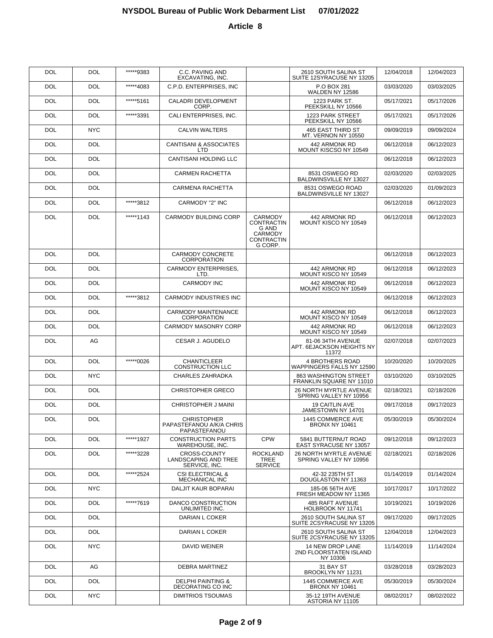| DOL        | DOL        | *****9383 | C.C. PAVING AND<br>EXCAVATING, INC.                            |                                                                                         | 2610 SOUTH SALINA ST<br>SUITE 12SYRACUSE NY 13205       | 12/04/2018 | 12/04/2023 |
|------------|------------|-----------|----------------------------------------------------------------|-----------------------------------------------------------------------------------------|---------------------------------------------------------|------------|------------|
| DOL        | DOL        | *****4083 | C.P.D. ENTERPRISES, INC                                        |                                                                                         | P.O BOX 281<br>WALDEN NY 12586                          | 03/03/2020 | 03/03/2025 |
| DOL        | DOL        | *****5161 | CALADRI DEVELOPMENT<br>CORP.                                   |                                                                                         | 1223 PARK ST.<br>PEEKSKILL NY 10566                     | 05/17/2021 | 05/17/2026 |
| DOL        | DOL        | *****3391 | CALI ENTERPRISES, INC.                                         |                                                                                         | 1223 PARK STREET<br>PEEKSKILL NY 10566                  | 05/17/2021 | 05/17/2026 |
| DOL        | <b>NYC</b> |           | CALVIN WALTERS                                                 |                                                                                         | <b>465 EAST THIRD ST</b><br>MT. VERNON NY 10550         | 09/09/2019 | 09/09/2024 |
| DOL        | DOL        |           | CANTISANI & ASSOCIATES<br>LTD                                  |                                                                                         | 442 ARMONK RD<br>MOUNT KISCSO NY 10549                  | 06/12/2018 | 06/12/2023 |
| <b>DOL</b> | <b>DOL</b> |           | CANTISANI HOLDING LLC                                          |                                                                                         |                                                         | 06/12/2018 | 06/12/2023 |
| DOL        | <b>DOL</b> |           | <b>CARMEN RACHETTA</b>                                         |                                                                                         | 8531 OSWEGO RD<br>BALDWINSVILLE NY 13027                | 02/03/2020 | 02/03/2025 |
| DOL        | <b>DOL</b> |           | CARMENA RACHETTA                                               |                                                                                         | 8531 OSWEGO ROAD<br>BALDWINSVILLE NY 13027              | 02/03/2020 | 01/09/2023 |
| DOL        | DOL        | *****3812 | CARMODY "2" INC                                                |                                                                                         |                                                         | 06/12/2018 | 06/12/2023 |
| DOL        | DOL        | *****1143 | <b>CARMODY BUILDING CORP</b>                                   | <b>CARMODY</b><br>CONTRACTIN<br><b>G AND</b><br><b>CARMODY</b><br>CONTRACTIN<br>G CORP. | 442 ARMONK RD<br>MOUNT KISCO NY 10549                   | 06/12/2018 | 06/12/2023 |
| <b>DOL</b> | <b>DOL</b> |           | <b>CARMODY CONCRETE</b><br><b>CORPORATION</b>                  |                                                                                         |                                                         | 06/12/2018 | 06/12/2023 |
| <b>DOL</b> | <b>DOL</b> |           | <b>CARMODY ENTERPRISES.</b><br>LTD.                            |                                                                                         | 442 ARMONK RD<br>MOUNT KISCO NY 10549                   | 06/12/2018 | 06/12/2023 |
| DOL        | <b>DOL</b> |           | <b>CARMODY INC</b>                                             |                                                                                         | 442 ARMONK RD<br>MOUNT KISCO NY 10549                   | 06/12/2018 | 06/12/2023 |
| <b>DOL</b> | <b>DOL</b> | *****3812 | <b>CARMODY INDUSTRIES INC</b>                                  |                                                                                         |                                                         | 06/12/2018 | 06/12/2023 |
| DOL        | <b>DOL</b> |           | <b>CARMODY MAINTENANCE</b><br><b>CORPORATION</b>               |                                                                                         | 442 ARMONK RD<br>MOUNT KISCO NY 10549                   | 06/12/2018 | 06/12/2023 |
| <b>DOL</b> | <b>DOL</b> |           | <b>CARMODY MASONRY CORP</b>                                    |                                                                                         | 442 ARMONK RD<br>MOUNT KISCO NY 10549                   | 06/12/2018 | 06/12/2023 |
| <b>DOL</b> | AG         |           | CESAR J. AGUDELO                                               |                                                                                         | 81-06 34TH AVENUE<br>APT. 6EJACKSON HEIGHTS NY<br>11372 | 02/07/2018 | 02/07/2023 |
| <b>DOL</b> | <b>DOL</b> | *****0026 | <b>CHANTICLEER</b><br><b>CONSTRUCTION LLC</b>                  |                                                                                         | <b>4 BROTHERS ROAD</b><br>WAPPINGERS FALLS NY 12590     | 10/20/2020 | 10/20/2025 |
| <b>DOL</b> | <b>NYC</b> |           | <b>CHARLES ZAHRADKA</b>                                        |                                                                                         | 863 WASHINGTON STREET<br>FRANKLIN SQUARE NY 11010       | 03/10/2020 | 03/10/2025 |
| <b>DOL</b> | <b>DOL</b> |           | <b>CHRISTOPHER GRECO</b>                                       |                                                                                         | <b>26 NORTH MYRTLE AVENUE</b><br>SPRING VALLEY NY 10956 | 02/18/2021 | 02/18/2026 |
| <b>DOL</b> | <b>DOL</b> |           | <b>CHRISTOPHER J MAINI</b>                                     |                                                                                         | <b>19 CAITLIN AVE</b><br>JAMESTOWN NY 14701             | 09/17/2018 | 09/17/2023 |
| <b>DOL</b> | <b>DOL</b> |           | <b>CHRISTOPHER</b><br>PAPASTEFANOU A/K/A CHRIS<br>PAPASTEFANOU |                                                                                         | 1445 COMMERCE AVE<br>BRONX NY 10461                     | 05/30/2019 | 05/30/2024 |
| DOL        | DOL        | *****1927 | <b>CONSTRUCTION PARTS</b><br>WAREHOUSE, INC.                   | <b>CPW</b>                                                                              | 5841 BUTTERNUT ROAD<br><b>EAST SYRACUSE NY 13057</b>    | 09/12/2018 | 09/12/2023 |
| DOL        | DOL        | *****3228 | CROSS-COUNTY<br>LANDSCAPING AND TREE<br>SERVICE, INC.          | <b>ROCKLAND</b><br>TREE<br><b>SERVICE</b>                                               | <b>26 NORTH MYRTLE AVENUE</b><br>SPRING VALLEY NY 10956 | 02/18/2021 | 02/18/2026 |
| <b>DOL</b> | <b>DOL</b> | *****2524 | <b>CSI ELECTRICAL &amp;</b><br>MECHANICAL INC                  |                                                                                         | 42-32 235TH ST<br>DOUGLASTON NY 11363                   | 01/14/2019 | 01/14/2024 |
| <b>DOL</b> | NYC.       |           | DALJIT KAUR BOPARAI                                            |                                                                                         | 185-06 56TH AVE<br>FRESH MEADOW NY 11365                | 10/17/2017 | 10/17/2022 |
| <b>DOL</b> | DOL.       | *****7619 | DANCO CONSTRUCTION<br>UNLIMITED INC.                           |                                                                                         | <b>485 RAFT AVENUE</b><br>HOLBROOK NY 11741             | 10/19/2021 | 10/19/2026 |
| <b>DOL</b> | <b>DOL</b> |           | DARIAN L COKER                                                 |                                                                                         | 2610 SOUTH SALINA ST<br>SUITE 2CSYRACUSE NY 13205       | 09/17/2020 | 09/17/2025 |
| <b>DOL</b> | DOL        |           | DARIAN L COKER                                                 |                                                                                         | 2610 SOUTH SALINA ST<br>SUITE 2CSYRACUSE NY 13205       | 12/04/2018 | 12/04/2023 |
| <b>DOL</b> | NYC.       |           | DAVID WEINER                                                   |                                                                                         | 14 NEW DROP LANE<br>2ND FLOORSTATEN ISLAND<br>NY 10306  | 11/14/2019 | 11/14/2024 |
| <b>DOL</b> | AG         |           | DEBRA MARTINEZ                                                 |                                                                                         | 31 BAY ST<br>BROOKLYN NY 11231                          | 03/28/2018 | 03/28/2023 |
| <b>DOL</b> | <b>DOL</b> |           | <b>DELPHI PAINTING &amp;</b><br>DECORATING CO INC              |                                                                                         | 1445 COMMERCE AVE<br><b>BRONX NY 10461</b>              | 05/30/2019 | 05/30/2024 |
| <b>DOL</b> | <b>NYC</b> |           | <b>DIMITRIOS TSOUMAS</b>                                       |                                                                                         | 35-12 19TH AVENUE<br>ASTORIA NY 11105                   | 08/02/2017 | 08/02/2022 |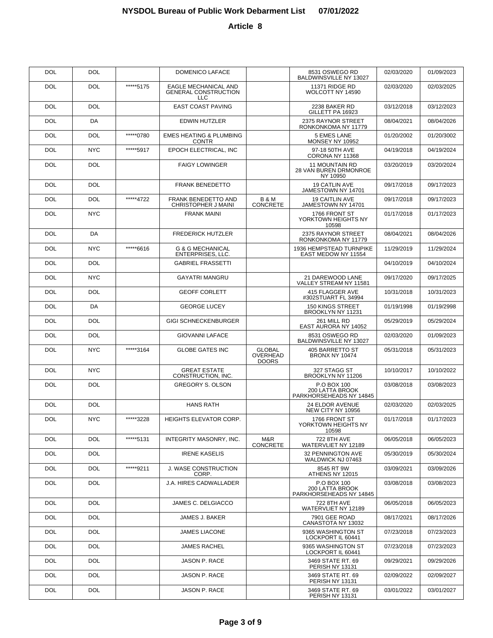| <b>DOL</b> | <b>DOL</b> |           | DOMENICO LAFACE                                                   |                                           | 8531 OSWEGO RD<br>BALDWINSVILLE NY 13027                   | 02/03/2020 | 01/09/2023 |
|------------|------------|-----------|-------------------------------------------------------------------|-------------------------------------------|------------------------------------------------------------|------------|------------|
| <b>DOL</b> | <b>DOL</b> | *****5175 | EAGLE MECHANICAL AND<br><b>GENERAL CONSTRUCTION</b><br><b>LLC</b> |                                           | 11371 RIDGE RD<br>WOLCOTT NY 14590                         | 02/03/2020 | 02/03/2025 |
| <b>DOL</b> | <b>DOL</b> |           | <b>EAST COAST PAVING</b>                                          |                                           | 2238 BAKER RD<br>GILLETT PA 16923                          | 03/12/2018 | 03/12/2023 |
| <b>DOL</b> | DA         |           | <b>EDWIN HUTZLER</b>                                              |                                           | 2375 RAYNOR STREET<br>RONKONKOMA NY 11779                  | 08/04/2021 | 08/04/2026 |
| <b>DOL</b> | DOL        | *****0780 | <b>EMES HEATING &amp; PLUMBING</b><br><b>CONTR</b>                |                                           | 5 EMES LANE<br>MONSEY NY 10952                             | 01/20/2002 | 01/20/3002 |
| <b>DOL</b> | <b>NYC</b> | *****5917 | EPOCH ELECTRICAL, INC                                             |                                           | 97-18 50TH AVE<br>CORONA NY 11368                          | 04/19/2018 | 04/19/2024 |
| <b>DOL</b> | DOL        |           | <b>FAIGY LOWINGER</b>                                             |                                           | <b>11 MOUNTAIN RD</b><br>28 VAN BUREN DRMONROE<br>NY 10950 | 03/20/2019 | 03/20/2024 |
| <b>DOL</b> | <b>DOL</b> |           | <b>FRANK BENEDETTO</b>                                            |                                           | 19 CATLIN AVE<br>JAMESTOWN NY 14701                        | 09/17/2018 | 09/17/2023 |
| <b>DOL</b> | <b>DOL</b> | *****4722 | <b>FRANK BENEDETTO AND</b><br>CHRISTOPHER J MAINI                 | <b>B&amp;M</b><br><b>CONCRETE</b>         | <b>19 CAITLIN AVE</b><br>JAMESTOWN NY 14701                | 09/17/2018 | 09/17/2023 |
| <b>DOL</b> | <b>NYC</b> |           | <b>FRANK MAINI</b>                                                |                                           | 1766 FRONT ST<br>YORKTOWN HEIGHTS NY<br>10598              | 01/17/2018 | 01/17/2023 |
| <b>DOL</b> | DA         |           | <b>FREDERICK HUTZLER</b>                                          |                                           | 2375 RAYNOR STREET<br>RONKONKOMA NY 11779                  | 08/04/2021 | 08/04/2026 |
| <b>DOL</b> | <b>NYC</b> | *****6616 | <b>G &amp; G MECHANICAL</b><br>ENTERPRISES, LLC.                  |                                           | 1936 HEMPSTEAD TURNPIKE<br>EAST MEDOW NY 11554             | 11/29/2019 | 11/29/2024 |
| <b>DOL</b> | <b>DOL</b> |           | <b>GABRIEL FRASSETTI</b>                                          |                                           |                                                            | 04/10/2019 | 04/10/2024 |
| <b>DOL</b> | <b>NYC</b> |           | <b>GAYATRI MANGRU</b>                                             |                                           | 21 DAREWOOD LANE<br>VALLEY STREAM NY 11581                 | 09/17/2020 | 09/17/2025 |
| <b>DOL</b> | <b>DOL</b> |           | <b>GEOFF CORLETT</b>                                              |                                           | 415 FLAGGER AVE<br>#302STUART FL 34994                     | 10/31/2018 | 10/31/2023 |
| <b>DOL</b> | DA         |           | <b>GEORGE LUCEY</b>                                               |                                           | 150 KINGS STREET<br>BROOKLYN NY 11231                      | 01/19/1998 | 01/19/2998 |
| <b>DOL</b> | <b>DOL</b> |           | <b>GIGI SCHNECKENBURGER</b>                                       |                                           | 261 MILL RD<br>EAST AURORA NY 14052                        | 05/29/2019 | 05/29/2024 |
| <b>DOL</b> | <b>DOL</b> |           | <b>GIOVANNI LAFACE</b>                                            |                                           | 8531 OSWEGO RD<br>BALDWINSVILLE NY 13027                   | 02/03/2020 | 01/09/2023 |
| <b>DOL</b> | <b>NYC</b> | *****3164 | <b>GLOBE GATES INC</b>                                            | <b>GLOBAL</b><br>OVERHEAD<br><b>DOORS</b> | 405 BARRETTO ST<br><b>BRONX NY 10474</b>                   | 05/31/2018 | 05/31/2023 |
| DOL        | <b>NYC</b> |           | <b>GREAT ESTATE</b><br>CONSTRUCTION, INC.                         |                                           | 327 STAGG ST<br>BROOKLYN NY 11206                          | 10/10/2017 | 10/10/2022 |
| DOL        | <b>DOL</b> |           | <b>GREGORY S. OLSON</b>                                           |                                           | P.O BOX 100<br>200 LATTA BROOK<br>PARKHORSEHEADS NY 14845  | 03/08/2018 | 03/08/2023 |
| <b>DOL</b> | <b>DOL</b> |           | <b>HANS RATH</b>                                                  |                                           | 24 ELDOR AVENUE<br>NEW CITY NY 10956                       | 02/03/2020 | 02/03/2025 |
| <b>DOL</b> | <b>NYC</b> | *****3228 | <b>HEIGHTS ELEVATOR CORP.</b>                                     |                                           | 1766 FRONT ST<br>YORKTOWN HEIGHTS NY<br>10598              | 01/17/2018 | 01/17/2023 |
| <b>DOL</b> | <b>DOL</b> | *****5131 | INTEGRITY MASONRY, INC.                                           | M&R<br><b>CONCRETE</b>                    | 722 8TH AVE<br>WATERVLIET NY 12189                         | 06/05/2018 | 06/05/2023 |
| <b>DOL</b> | <b>DOL</b> |           | <b>IRENE KASELIS</b>                                              |                                           | 32 PENNINGTON AVE<br>WALDWICK NJ 07463                     | 05/30/2019 | 05/30/2024 |
| <b>DOL</b> | <b>DOL</b> | *****9211 | <b>J. WASE CONSTRUCTION</b><br>CORP.                              |                                           | 8545 RT 9W<br>ATHENS NY 12015                              | 03/09/2021 | 03/09/2026 |
| <b>DOL</b> | <b>DOL</b> |           | J.A. HIRES CADWALLADER                                            |                                           | P.O BOX 100<br>200 LATTA BROOK<br>PARKHORSEHEADS NY 14845  | 03/08/2018 | 03/08/2023 |
| <b>DOL</b> | <b>DOL</b> |           | JAMES C. DELGIACCO                                                |                                           | 722 8TH AVE<br>WATERVLIET NY 12189                         | 06/05/2018 | 06/05/2023 |
| <b>DOL</b> | DOL        |           | JAMES J. BAKER                                                    |                                           | 7901 GEE ROAD<br>CANASTOTA NY 13032                        | 08/17/2021 | 08/17/2026 |
| <b>DOL</b> | DOL        |           | <b>JAMES LIACONE</b>                                              |                                           | 9365 WASHINGTON ST<br>LOCKPORT IL 60441                    | 07/23/2018 | 07/23/2023 |
| <b>DOL</b> | DOL        |           | <b>JAMES RACHEL</b>                                               |                                           | 9365 WASHINGTON ST<br>LOCKPORT IL 60441                    | 07/23/2018 | 07/23/2023 |
| <b>DOL</b> | DOL        |           | JASON P. RACE                                                     |                                           | 3469 STATE RT. 69<br>PERISH NY 13131                       | 09/29/2021 | 09/29/2026 |
| <b>DOL</b> | DOL        |           | JASON P. RACE                                                     |                                           | 3469 STATE RT. 69<br>PERISH NY 13131                       | 02/09/2022 | 02/09/2027 |
| <b>DOL</b> | DOL.       |           | JASON P. RACE                                                     |                                           | 3469 STATE RT. 69<br>PERISH NY 13131                       | 03/01/2022 | 03/01/2027 |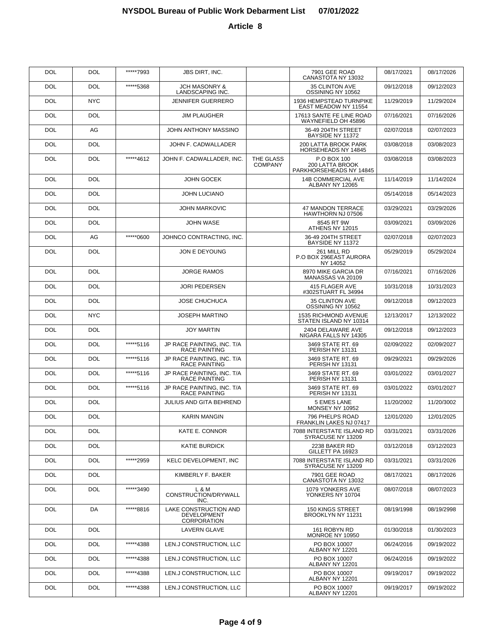| <b>DOL</b> | <b>DOL</b> | *****7993 | <b>JBS DIRT, INC.</b>                                      |                             | 7901 GEE ROAD<br>CANASTOTA NY 13032                       | 08/17/2021 | 08/17/2026 |
|------------|------------|-----------|------------------------------------------------------------|-----------------------------|-----------------------------------------------------------|------------|------------|
| <b>DOL</b> | <b>DOL</b> | *****5368 | <b>JCH MASONRY &amp;</b><br><b>LANDSCAPING INC.</b>        |                             | <b>35 CLINTON AVE</b><br>OSSINING NY 10562                | 09/12/2018 | 09/12/2023 |
| <b>DOL</b> | <b>NYC</b> |           | <b>JENNIFER GUERRERO</b>                                   |                             | 1936 HEMPSTEAD TURNPIKE<br>EAST MEADOW NY 11554           | 11/29/2019 | 11/29/2024 |
| <b>DOL</b> | <b>DOL</b> |           | <b>JIM PLAUGHER</b>                                        |                             | 17613 SANTE FE LINE ROAD<br>WAYNEFIELD OH 45896           | 07/16/2021 | 07/16/2026 |
| <b>DOL</b> | AG         |           | JOHN ANTHONY MASSINO                                       |                             | 36-49 204TH STREET<br>BAYSIDE NY 11372                    | 02/07/2018 | 02/07/2023 |
| <b>DOL</b> | <b>DOL</b> |           | JOHN F. CADWALLADER                                        |                             | 200 LATTA BROOK PARK<br>HORSEHEADS NY 14845               | 03/08/2018 | 03/08/2023 |
| <b>DOL</b> | <b>DOL</b> | *****4612 | JOHN F. CADWALLADER, INC.                                  | THE GLASS<br><b>COMPANY</b> | P.O BOX 100<br>200 LATTA BROOK<br>PARKHORSEHEADS NY 14845 | 03/08/2018 | 03/08/2023 |
| <b>DOL</b> | <b>DOL</b> |           | <b>JOHN GOCEK</b>                                          |                             | <b>14B COMMERCIAL AVE</b><br>ALBANY NY 12065              | 11/14/2019 | 11/14/2024 |
| <b>DOL</b> | <b>DOL</b> |           | <b>JOHN LUCIANO</b>                                        |                             |                                                           | 05/14/2018 | 05/14/2023 |
| <b>DOL</b> | <b>DOL</b> |           | <b>JOHN MARKOVIC</b>                                       |                             | <b>47 MANDON TERRACE</b><br>HAWTHORN NJ 07506             | 03/29/2021 | 03/29/2026 |
| <b>DOL</b> | <b>DOL</b> |           | JOHN WASE                                                  |                             | 8545 RT 9W<br>ATHENS NY 12015                             | 03/09/2021 | 03/09/2026 |
| <b>DOL</b> | AG         | *****0600 | JOHNCO CONTRACTING, INC.                                   |                             | 36-49 204TH STREET<br>BAYSIDE NY 11372                    | 02/07/2018 | 02/07/2023 |
| <b>DOL</b> | <b>DOL</b> |           | JON E DEYOUNG                                              |                             | 261 MILL RD<br>P.O BOX 296EAST AURORA<br>NY 14052         | 05/29/2019 | 05/29/2024 |
| <b>DOL</b> | <b>DOL</b> |           | <b>JORGE RAMOS</b>                                         |                             | 8970 MIKE GARCIA DR<br>MANASSAS VA 20109                  | 07/16/2021 | 07/16/2026 |
| <b>DOL</b> | <b>DOL</b> |           | <b>JORI PEDERSEN</b>                                       |                             | 415 FLAGER AVE<br>#302STUART FL 34994                     | 10/31/2018 | 10/31/2023 |
| <b>DOL</b> | DOL        |           | <b>JOSE CHUCHUCA</b>                                       |                             | 35 CLINTON AVE<br>OSSINING NY 10562                       | 09/12/2018 | 09/12/2023 |
| <b>DOL</b> | <b>NYC</b> |           | <b>JOSEPH MARTINO</b>                                      |                             | 1535 RICHMOND AVENUE<br>STATEN ISLAND NY 10314            | 12/13/2017 | 12/13/2022 |
| <b>DOL</b> | DOL        |           | <b>JOY MARTIN</b>                                          |                             | 2404 DELAWARE AVE<br>NIGARA FALLS NY 14305                | 09/12/2018 | 09/12/2023 |
| <b>DOL</b> | <b>DOL</b> | *****5116 | JP RACE PAINTING, INC. T/A<br>RACE PAINTING                |                             | 3469 STATE RT. 69<br>PERISH NY 13131                      | 02/09/2022 | 02/09/2027 |
| <b>DOL</b> | DOL        | *****5116 | JP RACE PAINTING, INC. T/A<br>RACE PAINTING                |                             | 3469 STATE RT. 69<br>PERISH NY 13131                      | 09/29/2021 | 09/29/2026 |
| <b>DOL</b> | <b>DOL</b> | *****5116 | JP RACE PAINTING, INC. T/A<br>RACE PAINTING                |                             | 3469 STATE RT. 69<br>PERISH NY 13131                      | 03/01/2022 | 03/01/2027 |
| <b>DOL</b> | DOL        | *****5116 | JP RACE PAINTING, INC. T/A<br><b>RACE PAINTING</b>         |                             | 3469 STATE RT. 69<br>PERISH NY 13131                      | 03/01/2022 | 03/01/2027 |
| <b>DOL</b> | <b>DOL</b> |           | JULIUS AND GITA BEHREND                                    |                             | 5 EMES LANE<br>MONSEY NY 10952                            | 11/20/2002 | 11/20/3002 |
| <b>DOL</b> | <b>DOL</b> |           | <b>KARIN MANGIN</b>                                        |                             | 796 PHELPS ROAD<br>FRANKLIN LAKES NJ 07417                | 12/01/2020 | 12/01/2025 |
| <b>DOL</b> | <b>DOL</b> |           | KATE E. CONNOR                                             |                             | 7088 INTERSTATE ISLAND RD<br>SYRACUSE NY 13209            | 03/31/2021 | 03/31/2026 |
| <b>DOL</b> | <b>DOL</b> |           | <b>KATIE BURDICK</b>                                       |                             | 2238 BAKER RD<br>GILLETT PA 16923                         | 03/12/2018 | 03/12/2023 |
| <b>DOL</b> | <b>DOL</b> | *****2959 | <b>KELC DEVELOPMENT, INC</b>                               |                             | 7088 INTERSTATE ISLAND RD<br>SYRACUSE NY 13209            | 03/31/2021 | 03/31/2026 |
| <b>DOL</b> | <b>DOL</b> |           | KIMBERLY F. BAKER                                          |                             | 7901 GEE ROAD<br>CANASTOTA NY 13032                       | 08/17/2021 | 08/17/2026 |
| <b>DOL</b> | <b>DOL</b> | *****3490 | L & M<br>CONSTRUCTION/DRYWALL<br>INC.                      |                             | 1079 YONKERS AVE<br>YONKERS NY 10704                      | 08/07/2018 | 08/07/2023 |
| <b>DOL</b> | DA         | *****8816 | LAKE CONSTRUCTION AND<br><b>DEVELOPMENT</b><br>CORPORATION |                             | <b>150 KINGS STREET</b><br>BROOKLYN NY 11231              | 08/19/1998 | 08/19/2998 |
| <b>DOL</b> | <b>DOL</b> |           | <b>LAVERN GLAVE</b>                                        |                             | 161 ROBYN RD<br>MONROE NY 10950                           | 01/30/2018 | 01/30/2023 |
| <b>DOL</b> | <b>DOL</b> | *****4388 | LEN.J CONSTRUCTION, LLC                                    |                             | PO BOX 10007<br>ALBANY NY 12201                           | 06/24/2016 | 09/19/2022 |
| <b>DOL</b> | <b>DOL</b> | *****4388 | LEN.J CONSTRUCTION, LLC                                    |                             | PO BOX 10007<br>ALBANY NY 12201                           | 06/24/2016 | 09/19/2022 |
| <b>DOL</b> | <b>DOL</b> | *****4388 | LEN.J CONSTRUCTION, LLC                                    |                             | PO BOX 10007<br>ALBANY NY 12201                           | 09/19/2017 | 09/19/2022 |
| <b>DOL</b> | <b>DOL</b> | *****4388 | LEN.J CONSTRUCTION, LLC                                    |                             | PO BOX 10007<br>ALBANY NY 12201                           | 09/19/2017 | 09/19/2022 |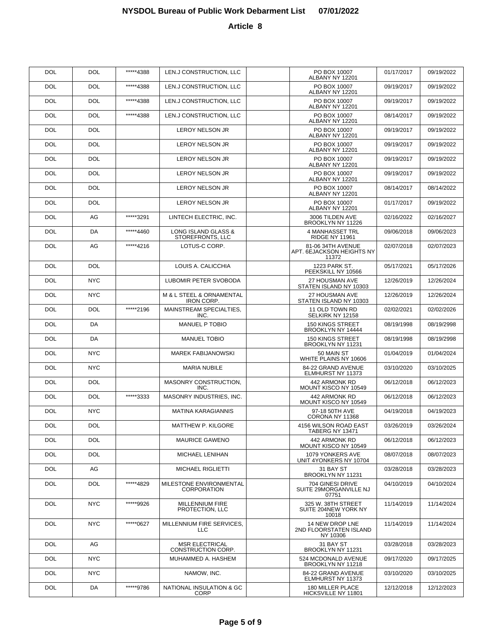| <b>DOL</b> | <b>DOL</b> | *****4388 | LEN.J CONSTRUCTION, LLC                       | PO BOX 10007<br>ALBANY NY 12201                         | 01/17/2017 | 09/19/2022 |
|------------|------------|-----------|-----------------------------------------------|---------------------------------------------------------|------------|------------|
| <b>DOL</b> | <b>DOL</b> | *****4388 | LEN.J CONSTRUCTION, LLC                       | PO BOX 10007<br>ALBANY NY 12201                         | 09/19/2017 | 09/19/2022 |
| <b>DOL</b> | <b>DOL</b> | *****4388 | LEN.J CONSTRUCTION, LLC                       | PO BOX 10007<br>ALBANY NY 12201                         | 09/19/2017 | 09/19/2022 |
| <b>DOL</b> | <b>DOL</b> | *****4388 | LEN.J CONSTRUCTION, LLC                       | PO BOX 10007<br>ALBANY NY 12201                         | 08/14/2017 | 09/19/2022 |
| <b>DOL</b> | <b>DOL</b> |           | <b>LEROY NELSON JR</b>                        | PO BOX 10007<br>ALBANY NY 12201                         | 09/19/2017 | 09/19/2022 |
| <b>DOL</b> | <b>DOL</b> |           | <b>LEROY NELSON JR</b>                        | PO BOX 10007<br>ALBANY NY 12201                         | 09/19/2017 | 09/19/2022 |
| <b>DOL</b> | <b>DOL</b> |           | <b>LEROY NELSON JR</b>                        | PO BOX 10007<br>ALBANY NY 12201                         | 09/19/2017 | 09/19/2022 |
| <b>DOL</b> | <b>DOL</b> |           | <b>LEROY NELSON JR</b>                        | PO BOX 10007<br>ALBANY NY 12201                         | 09/19/2017 | 09/19/2022 |
| <b>DOL</b> | <b>DOL</b> |           | <b>LEROY NELSON JR</b>                        | PO BOX 10007<br>ALBANY NY 12201                         | 08/14/2017 | 08/14/2022 |
| <b>DOL</b> | <b>DOL</b> |           | <b>LEROY NELSON JR</b>                        | PO BOX 10007<br>ALBANY NY 12201                         | 01/17/2017 | 09/19/2022 |
| <b>DOL</b> | AG         | *****3291 | LINTECH ELECTRIC, INC.                        | 3006 TILDEN AVE<br>BROOKLYN NY 11226                    | 02/16/2022 | 02/16/2027 |
| <b>DOL</b> | DA         | *****4460 | LONG ISLAND GLASS &<br>STOREFRONTS, LLC       | 4 MANHASSET TRL<br><b>RIDGE NY 11961</b>                | 09/06/2018 | 09/06/2023 |
| <b>DOL</b> | AG         | *****4216 | LOTUS-C CORP.                                 | 81-06 34TH AVENUE<br>APT. 6EJACKSON HEIGHTS NY<br>11372 | 02/07/2018 | 02/07/2023 |
| <b>DOL</b> | <b>DOL</b> |           | LOUIS A. CALICCHIA                            | 1223 PARK ST.<br>PEEKSKILL NY 10566                     | 05/17/2021 | 05/17/2026 |
| <b>DOL</b> | <b>NYC</b> |           | LUBOMIR PETER SVOBODA                         | 27 HOUSMAN AVE<br>STATEN ISLAND NY 10303                | 12/26/2019 | 12/26/2024 |
| <b>DOL</b> | <b>NYC</b> |           | M & L STEEL & ORNAMENTAL<br><b>IRON CORP.</b> | 27 HOUSMAN AVE<br>STATEN ISLAND NY 10303                | 12/26/2019 | 12/26/2024 |
| <b>DOL</b> | DOL        | *****2196 | MAINSTREAM SPECIALTIES,<br>INC.               | 11 OLD TOWN RD<br>SELKIRK NY 12158                      | 02/02/2021 | 02/02/2026 |
| <b>DOL</b> | DA         |           | <b>MANUEL P TOBIO</b>                         | <b>150 KINGS STREET</b><br>BROOKLYN NY 14444            | 08/19/1998 | 08/19/2998 |
| <b>DOL</b> | DA         |           | <b>MANUEL TOBIO</b>                           | <b>150 KINGS STREET</b><br>BROOKLYN NY 11231            | 08/19/1998 | 08/19/2998 |
| <b>DOL</b> | <b>NYC</b> |           | <b>MAREK FABIJANOWSKI</b>                     | 50 MAIN ST<br>WHITE PLAINS NY 10606                     | 01/04/2019 | 01/04/2024 |
| <b>DOL</b> | <b>NYC</b> |           | <b>MARIA NUBILE</b>                           | 84-22 GRAND AVENUE<br>ELMHURST NY 11373                 | 03/10/2020 | 03/10/2025 |
| <b>DOL</b> | DOL        |           | MASONRY CONSTRUCTION,<br>INC.                 | 442 ARMONK RD<br>MOUNT KISCO NY 10549                   | 06/12/2018 | 06/12/2023 |
| <b>DOL</b> | DOL        | *****3333 | MASONRY INDUSTRIES, INC.                      | 442 ARMONK RD<br>MOUNT KISCO NY 10549                   | 06/12/2018 | 06/12/2023 |
| <b>DOL</b> | <b>NYC</b> |           | <b>MATINA KARAGIANNIS</b>                     | 97-18 50TH AVE<br>CORONA NY 11368                       | 04/19/2018 | 04/19/2023 |
| DOL        | DOL        |           | <b>MATTHEW P. KILGORE</b>                     | 4156 WILSON ROAD EAST<br><b>TABERG NY 13471</b>         | 03/26/2019 | 03/26/2024 |
| DOL        | <b>DOL</b> |           | <b>MAURICE GAWENO</b>                         | 442 ARMONK RD<br>MOUNT KISCO NY 10549                   | 06/12/2018 | 06/12/2023 |
| DOL        | DOL        |           | MICHAEL LENIHAN                               | 1079 YONKERS AVE<br>UNIT 4YONKERS NY 10704              | 08/07/2018 | 08/07/2023 |
| DOL        | AG         |           | MICHAEL RIGLIETTI                             | 31 BAY ST<br>BROOKLYN NY 11231                          | 03/28/2018 | 03/28/2023 |
| DOL        | DOL        | *****4829 | MILESTONE ENVIRONMENTAL<br><b>CORPORATION</b> | 704 GINESI DRIVE<br>SUITE 29MORGANVILLE NJ<br>07751     | 04/10/2019 | 04/10/2024 |
| <b>DOL</b> | <b>NYC</b> | *****9926 | <b>MILLENNIUM FIRE</b><br>PROTECTION, LLC     | 325 W. 38TH STREET<br>SUITE 204NEW YORK NY<br>10018     | 11/14/2019 | 11/14/2024 |
| <b>DOL</b> | <b>NYC</b> | *****0627 | MILLENNIUM FIRE SERVICES,<br><b>LLC</b>       | 14 NEW DROP LNE<br>2ND FLOORSTATEN ISLAND<br>NY 10306   | 11/14/2019 | 11/14/2024 |
| <b>DOL</b> | AG         |           | <b>MSR ELECTRICAL</b><br>CONSTRUCTION CORP.   | 31 BAY ST<br>BROOKLYN NY 11231                          | 03/28/2018 | 03/28/2023 |
| <b>DOL</b> | <b>NYC</b> |           | MUHAMMED A. HASHEM                            | 524 MCDONALD AVENUE<br>BROOKLYN NY 11218                | 09/17/2020 | 09/17/2025 |
| <b>DOL</b> | <b>NYC</b> |           | NAMOW, INC.                                   | 84-22 GRAND AVENUE<br>ELMHURST NY 11373                 | 03/10/2020 | 03/10/2025 |
| <b>DOL</b> | DA         | *****9786 | NATIONAL INSULATION & GC<br><b>CORP</b>       | 180 MILLER PLACE<br>HICKSVILLE NY 11801                 | 12/12/2018 | 12/12/2023 |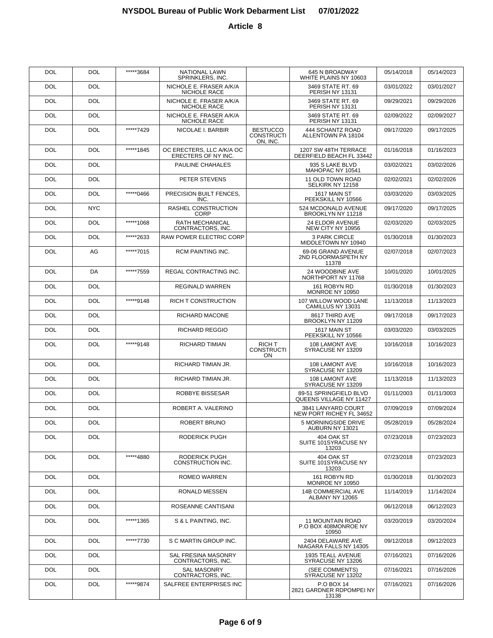| DOL        | <b>DOL</b> | *****3684 | <b>NATIONAL LAWN</b><br>SPRINKLERS, INC.         |                                           | 645 N BROADWAY<br>WHITE PLAINS NY 10603                  | 05/14/2018 | 05/14/2023 |
|------------|------------|-----------|--------------------------------------------------|-------------------------------------------|----------------------------------------------------------|------------|------------|
| DOL        | <b>DOL</b> |           | NICHOLE E. FRASER A/K/A<br>NICHOLE RACE          |                                           | 3469 STATE RT. 69<br>PERISH NY 13131                     | 03/01/2022 | 03/01/2027 |
| DOL        | <b>DOL</b> |           | NICHOLE E. FRASER A/K/A<br>NICHOLE RACE          |                                           | 3469 STATE RT. 69<br>PERISH NY 13131                     | 09/29/2021 | 09/29/2026 |
| DOL        | <b>DOL</b> |           | NICHOLE E. FRASER A/K/A<br>NICHOLE RACE          |                                           | 3469 STATE RT. 69<br>PERISH NY 13131                     | 02/09/2022 | 02/09/2027 |
| DOL        | <b>DOL</b> | *****7429 | NICOLAE I. BARBIR                                | <b>BESTUCCO</b><br>CONSTRUCTI<br>ON, INC. | 444 SCHANTZ ROAD<br>ALLENTOWN PA 18104                   | 09/17/2020 | 09/17/2025 |
| <b>DOL</b> | <b>DOL</b> | *****1845 | OC ERECTERS, LLC A/K/A OC<br>ERECTERS OF NY INC. |                                           | 1207 SW 48TH TERRACE<br>DEERFIELD BEACH FL 33442         | 01/16/2018 | 01/16/2023 |
| <b>DOL</b> | <b>DOL</b> |           | PAULINE CHAHALES                                 |                                           | 935 S LAKE BLVD<br>MAHOPAC NY 10541                      | 03/02/2021 | 03/02/2026 |
| <b>DOL</b> | <b>DOL</b> |           | PETER STEVENS                                    |                                           | 11 OLD TOWN ROAD<br>SELKIRK NY 12158                     | 02/02/2021 | 02/02/2026 |
| <b>DOL</b> | <b>DOL</b> | *****0466 | PRECISION BUILT FENCES,<br>INC.                  |                                           | 1617 MAIN ST<br>PEEKSKILL NY 10566                       | 03/03/2020 | 03/03/2025 |
| <b>DOL</b> | <b>NYC</b> |           | RASHEL CONSTRUCTION<br><b>CORP</b>               |                                           | 524 MCDONALD AVENUE<br>BROOKLYN NY 11218                 | 09/17/2020 | 09/17/2025 |
| <b>DOL</b> | <b>DOL</b> | *****1068 | <b>RATH MECHANICAL</b><br>CONTRACTORS, INC.      |                                           | 24 ELDOR AVENUE<br>NEW CITY NY 10956                     | 02/03/2020 | 02/03/2025 |
| <b>DOL</b> | <b>DOL</b> | *****2633 | <b>RAW POWER ELECTRIC CORP</b>                   |                                           | <b>3 PARK CIRCLE</b><br>MIDDLETOWN NY 10940              | 01/30/2018 | 01/30/2023 |
| <b>DOL</b> | AG         | *****7015 | <b>RCM PAINTING INC.</b>                         |                                           | 69-06 GRAND AVENUE<br>2ND FLOORMASPETH NY<br>11378       | 02/07/2018 | 02/07/2023 |
| <b>DOL</b> | DA         | *****7559 | REGAL CONTRACTING INC.                           |                                           | 24 WOODBINE AVE<br>NORTHPORT NY 11768                    | 10/01/2020 | 10/01/2025 |
| <b>DOL</b> | <b>DOL</b> |           | <b>REGINALD WARREN</b>                           |                                           | 161 ROBYN RD<br>MONROE NY 10950                          | 01/30/2018 | 01/30/2023 |
| <b>DOL</b> | <b>DOL</b> | *****9148 | <b>RICH T CONSTRUCTION</b>                       |                                           | 107 WILLOW WOOD LANE<br>CAMILLUS NY 13031                | 11/13/2018 | 11/13/2023 |
| <b>DOL</b> | <b>DOL</b> |           | RICHARD MACONE                                   |                                           | 8617 THIRD AVE<br>BROOKLYN NY 11209                      | 09/17/2018 | 09/17/2023 |
| <b>DOL</b> | <b>DOL</b> |           | <b>RICHARD REGGIO</b>                            |                                           | 1617 MAIN ST<br>PEEKSKILL NY 10566                       | 03/03/2020 | 03/03/2025 |
| <b>DOL</b> | <b>DOL</b> | *****9148 | <b>RICHARD TIMIAN</b>                            | RICH T<br><b>CONSTRUCTI</b><br><b>ON</b>  | 108 LAMONT AVE<br>SYRACUSE NY 13209                      | 10/16/2018 | 10/16/2023 |
| <b>DOL</b> | <b>DOL</b> |           | RICHARD TIMIAN JR.                               |                                           | 108 LAMONT AVE<br>SYRACUSE NY 13209                      | 10/16/2018 | 10/16/2023 |
| DOL        | <b>DOL</b> |           | RICHARD TIMIAN JR.                               |                                           | 108 LAMONT AVE<br>SYRACUSE NY 13209                      | 11/13/2018 | 11/13/2023 |
| DOL        | <b>DOL</b> |           | ROBBYE BISSESAR                                  |                                           | 89-51 SPRINGFIELD BLVD<br>QUEENS VILLAGE NY 11427        | 01/11/2003 | 01/11/3003 |
| DOL        | <b>DOL</b> |           | ROBERT A. VALERINO                               |                                           | 3841 LANYARD COURT<br>NEW PORT RICHEY FL 34652           | 07/09/2019 | 07/09/2024 |
| <b>DOL</b> | <b>DOL</b> |           | <b>ROBERT BRUNO</b>                              |                                           | 5 MORNINGSIDE DRIVE<br>AUBURN NY 13021                   | 05/28/2019 | 05/28/2024 |
| <b>DOL</b> | DOL        |           | <b>RODERICK PUGH</b>                             |                                           | 404 OAK ST<br>SUITE 101SYRACUSE NY<br>13203              | 07/23/2018 | 07/23/2023 |
| <b>DOL</b> | <b>DOL</b> | *****4880 | RODERICK PUGH<br>CONSTRUCTION INC.               |                                           | 404 OAK ST<br>SUITE 101SYRACUSE NY<br>13203              | 07/23/2018 | 07/23/2023 |
| <b>DOL</b> | <b>DOL</b> |           | ROMEO WARREN                                     |                                           | 161 ROBYN RD<br>MONROE NY 10950                          | 01/30/2018 | 01/30/2023 |
| <b>DOL</b> | <b>DOL</b> |           | RONALD MESSEN                                    |                                           | 14B COMMERCIAL AVE<br>ALBANY NY 12065                    | 11/14/2019 | 11/14/2024 |
| <b>DOL</b> | <b>DOL</b> |           | ROSEANNE CANTISANI                               |                                           |                                                          | 06/12/2018 | 06/12/2023 |
| <b>DOL</b> | <b>DOL</b> | *****1365 | S & L PAINTING, INC.                             |                                           | <b>11 MOUNTAIN ROAD</b><br>P.O BOX 408MONROE NY<br>10950 | 03/20/2019 | 03/20/2024 |
| <b>DOL</b> | DOL        | *****7730 | S C MARTIN GROUP INC.                            |                                           | 2404 DELAWARE AVE<br>NIAGARA FALLS NY 14305              | 09/12/2018 | 09/12/2023 |
| <b>DOL</b> | DOL        |           | SAL FRESINA MASONRY<br>CONTRACTORS, INC.         |                                           | 1935 TEALL AVENUE<br>SYRACUSE NY 13206                   | 07/16/2021 | 07/16/2026 |
| DOL        | DOL        |           | <b>SAL MASONRY</b><br>CONTRACTORS, INC.          |                                           | (SEE COMMENTS)<br>SYRACUSE NY 13202                      | 07/16/2021 | 07/16/2026 |
| <b>DOL</b> | DOL        | *****9874 | SALFREE ENTERPRISES INC                          |                                           | <b>P.O BOX 14</b><br>2821 GARDNER RDPOMPEI NY<br>13138   | 07/16/2021 | 07/16/2026 |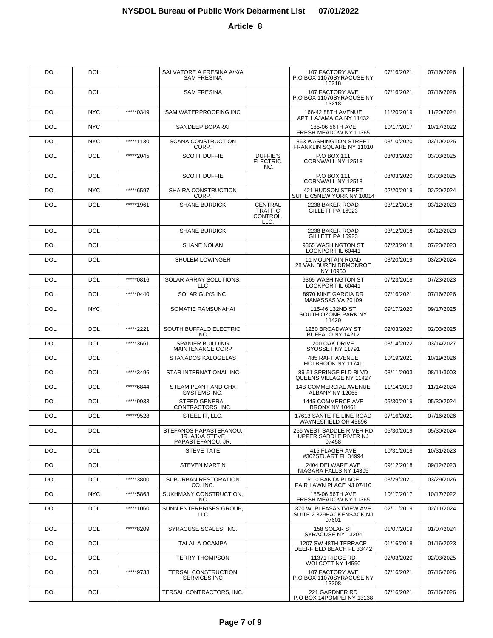| <b>DOL</b> | <b>DOL</b> |           | SALVATORE A FRESINA A/K/A<br><b>SAM FRESINA</b>                |                                                      | 107 FACTORY AVE<br>P.O BOX 11070SYRACUSE NY<br>13218         | 07/16/2021 | 07/16/2026 |
|------------|------------|-----------|----------------------------------------------------------------|------------------------------------------------------|--------------------------------------------------------------|------------|------------|
| DOL        | <b>DOL</b> |           | <b>SAM FRESINA</b>                                             |                                                      | 107 FACTORY AVE<br>P.O BOX 11070SYRACUSE NY<br>13218         | 07/16/2021 | 07/16/2026 |
| <b>DOL</b> | <b>NYC</b> | *****0349 | SAM WATERPROOFING INC                                          |                                                      | 168-42 88TH AVENUE<br>APT.1 AJAMAICA NY 11432                | 11/20/2019 | 11/20/2024 |
| <b>DOL</b> | <b>NYC</b> |           | SANDEEP BOPARAI                                                |                                                      | 185-06 56TH AVE<br>FRESH MEADOW NY 11365                     | 10/17/2017 | 10/17/2022 |
| <b>DOL</b> | <b>NYC</b> | *****1130 | <b>SCANA CONSTRUCTION</b><br>CORP.                             |                                                      | 863 WASHINGTON STREET<br>FRANKLIN SQUARE NY 11010            | 03/10/2020 | 03/10/2025 |
| <b>DOL</b> | <b>DOL</b> | *****2045 | <b>SCOTT DUFFIE</b>                                            | <b>DUFFIE'S</b><br>ELECTRIC,<br>INC.                 | P.O BOX 111<br>CORNWALL NY 12518                             | 03/03/2020 | 03/03/2025 |
| <b>DOL</b> | <b>DOL</b> |           | <b>SCOTT DUFFIE</b>                                            |                                                      | P.O BOX 111<br>CORNWALL NY 12518                             | 03/03/2020 | 03/03/2025 |
| <b>DOL</b> | <b>NYC</b> | *****6597 | SHAIRA CONSTRUCTION<br>CORP.                                   |                                                      | 421 HUDSON STREET<br>SUITE C5NEW YORK NY 10014               | 02/20/2019 | 02/20/2024 |
| <b>DOL</b> | <b>DOL</b> | *****1961 | <b>SHANE BURDICK</b>                                           | <b>CENTRAL</b><br><b>TRAFFIC</b><br>CONTROL,<br>LLC. | 2238 BAKER ROAD<br>GILLETT PA 16923                          | 03/12/2018 | 03/12/2023 |
| <b>DOL</b> | <b>DOL</b> |           | <b>SHANE BURDICK</b>                                           |                                                      | 2238 BAKER ROAD<br>GILLETT PA 16923                          | 03/12/2018 | 03/12/2023 |
| <b>DOL</b> | <b>DOL</b> |           | <b>SHANE NOLAN</b>                                             |                                                      | 9365 WASHINGTON ST<br>LOCKPORT IL 60441                      | 07/23/2018 | 07/23/2023 |
| <b>DOL</b> | <b>DOL</b> |           | <b>SHULEM LOWINGER</b>                                         |                                                      | <b>11 MOUNTAIN ROAD</b><br>28 VAN BUREN DRMONROE<br>NY 10950 | 03/20/2019 | 03/20/2024 |
| <b>DOL</b> | <b>DOL</b> | *****0816 | SOLAR ARRAY SOLUTIONS,<br><b>LLC</b>                           |                                                      | 9365 WASHINGTON ST<br>LOCKPORT IL 60441                      | 07/23/2018 | 07/23/2023 |
| <b>DOL</b> | <b>DOL</b> | *****0440 | SOLAR GUYS INC.                                                |                                                      | 8970 MIKE GARCIA DR<br>MANASSAS VA 20109                     | 07/16/2021 | 07/16/2026 |
| <b>DOL</b> | <b>NYC</b> |           | SOMATIE RAMSUNAHAI                                             |                                                      | 115-46 132ND ST<br>SOUTH OZONE PARK NY<br>11420              | 09/17/2020 | 09/17/2025 |
| DOL        | <b>DOL</b> | *****2221 | SOUTH BUFFALO ELECTRIC,<br>INC.                                |                                                      | 1250 BROADWAY ST<br>BUFFALO NY 14212                         | 02/03/2020 | 02/03/2025 |
| DOL        | <b>DOL</b> | *****3661 | SPANIER BUILDING<br><b>MAINTENANCE CORP</b>                    |                                                      | 200 OAK DRIVE<br>SYOSSET NY 11791                            | 03/14/2022 | 03/14/2027 |
| DOL        | <b>DOL</b> |           | STANADOS KALOGELAS                                             |                                                      | 485 RAFT AVENUE<br>HOLBROOK NY 11741                         | 10/19/2021 | 10/19/2026 |
| DOL        | DOL        | *****3496 | STAR INTERNATIONAL INC                                         |                                                      | 89-51 SPRINGFIELD BLVD<br>QUEENS VILLAGE NY 11427            | 08/11/2003 | 08/11/3003 |
| DOL        | DOL        | *****6844 | STEAM PLANT AND CHX<br>SYSTEMS INC.                            |                                                      | 14B COMMERCIAL AVENUE<br>ALBANY NY 12065                     | 11/14/2019 | 11/14/2024 |
| DOL        | DOL        | *****9933 | <b>STEED GENERAL</b><br>CONTRACTORS, INC.                      |                                                      | 1445 COMMERCE AVE<br><b>BRONX NY 10461</b>                   | 05/30/2019 | 05/30/2024 |
| DOL        | <b>DOL</b> | *****9528 | STEEL-IT, LLC.                                                 |                                                      | 17613 SANTE FE LINE ROAD<br>WAYNESFIELD OH 45896             | 07/16/2021 | 07/16/2026 |
| <b>DOL</b> | DOL.       |           | STEFANOS PAPASTEFANOU,<br>JR. A/K/A STEVE<br>PAPASTEFANOU, JR. |                                                      | 256 WEST SADDLE RIVER RD<br>UPPER SADDLE RIVER NJ<br>07458   | 05/30/2019 | 05/30/2024 |
| <b>DOL</b> | <b>DOL</b> |           | <b>STEVE TATE</b>                                              |                                                      | 415 FLAGER AVE<br>#302STUART FL 34994                        | 10/31/2018 | 10/31/2023 |
| <b>DOL</b> | <b>DOL</b> |           | <b>STEVEN MARTIN</b>                                           |                                                      | 2404 DELWARE AVE<br>NIAGARA FALLS NY 14305                   | 09/12/2018 | 09/12/2023 |
| <b>DOL</b> | <b>DOL</b> | *****3800 | SUBURBAN RESTORATION<br>CO. INC.                               |                                                      | 5-10 BANTA PLACE<br>FAIR LAWN PLACE NJ 07410                 | 03/29/2021 | 03/29/2026 |
| <b>DOL</b> | NYC.       | *****5863 | SUKHMANY CONSTRUCTION.<br>INC.                                 |                                                      | 185-06 56TH AVE<br>FRESH MEADOW NY 11365                     | 10/17/2017 | 10/17/2022 |
| <b>DOL</b> | DOL        | *****1060 | SUNN ENTERPRISES GROUP.<br><b>LLC</b>                          |                                                      | 370 W. PLEASANTVIEW AVE<br>SUITE 2.329HACKENSACK NJ<br>07601 | 02/11/2019 | 02/11/2024 |
| <b>DOL</b> | <b>DOL</b> | *****8209 | SYRACUSE SCALES, INC.                                          |                                                      | 158 SOLAR ST<br>SYRACUSE NY 13204                            | 01/07/2019 | 01/07/2024 |
| <b>DOL</b> | <b>DOL</b> |           | <b>TALAILA OCAMPA</b>                                          |                                                      | 1207 SW 48TH TERRACE<br>DEERFIELD BEACH FL 33442             | 01/16/2018 | 01/16/2023 |
| <b>DOL</b> | <b>DOL</b> |           | <b>TERRY THOMPSON</b>                                          |                                                      | 11371 RIDGE RD<br>WOLCOTT NY 14590                           | 02/03/2020 | 02/03/2025 |
| <b>DOL</b> | <b>DOL</b> | *****9733 | TERSAL CONSTRUCTION<br>SERVICES INC                            |                                                      | 107 FACTORY AVE<br>P.O BOX 11070SYRACUSE NY<br>13208         | 07/16/2021 | 07/16/2026 |
| <b>DOL</b> | <b>DOL</b> |           | TERSAL CONTRACTORS, INC.                                       |                                                      | 221 GARDNER RD<br>P.O BOX 14POMPEI NY 13138                  | 07/16/2021 | 07/16/2026 |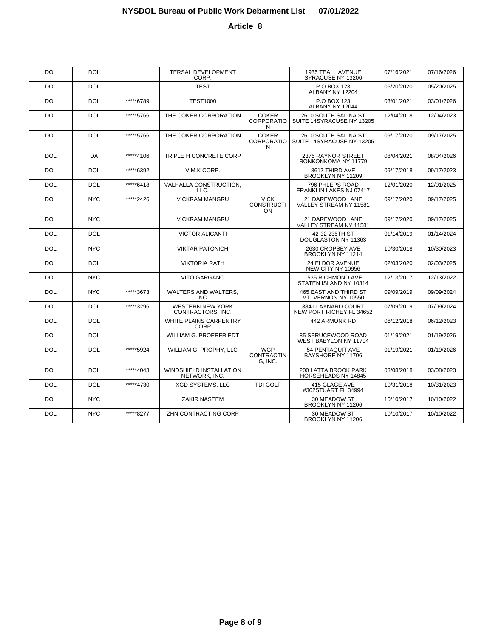| <b>DOL</b> | <b>DOL</b> |           | <b>TERSAL DEVELOPMENT</b><br>CORP.              |                                               | 1935 TEALL AVENUE<br>SYRACUSE NY 13206              | 07/16/2021 | 07/16/2026 |
|------------|------------|-----------|-------------------------------------------------|-----------------------------------------------|-----------------------------------------------------|------------|------------|
| <b>DOL</b> | <b>DOL</b> |           | <b>TEST</b>                                     |                                               | P.O BOX 123<br>ALBANY NY 12204                      | 05/20/2020 | 05/20/2025 |
| DOL        | <b>DOL</b> | *****6789 | <b>TEST1000</b>                                 |                                               | P.O BOX 123<br>ALBANY NY 12044                      | 03/01/2021 | 03/01/2026 |
| DOL        | <b>DOL</b> | *****5766 | THE COKER CORPORATION                           | <b>COKER</b><br><b>CORPORATIO</b><br>N        | 2610 SOUTH SALINA ST<br>SUITE 14SYRACUSE NY 13205   | 12/04/2018 | 12/04/2023 |
| <b>DOL</b> | <b>DOL</b> | *****5766 | THE COKER CORPORATION                           | <b>COKER</b><br>CORPORATIO<br>N               | 2610 SOUTH SALINA ST<br>SUITE 14SYRACUSE NY 13205   | 09/17/2020 | 09/17/2025 |
| <b>DOL</b> | DA         | *****4106 | TRIPLE H CONCRETE CORP                          |                                               | 2375 RAYNOR STREET<br>RONKONKOMA NY 11779           | 08/04/2021 | 08/04/2026 |
| <b>DOL</b> | <b>DOL</b> | *****6392 | V.M.K CORP.                                     |                                               | 8617 THIRD AVE<br>BROOKLYN NY 11209                 | 09/17/2018 | 09/17/2023 |
| <b>DOL</b> | <b>DOL</b> | *****6418 | VALHALLA CONSTRUCTION,<br>LLC.                  |                                               | 796 PHLEPS ROAD<br>FRANKLIN LAKES NJ 07417          | 12/01/2020 | 12/01/2025 |
| <b>DOL</b> | <b>NYC</b> | *****2426 | <b>VICKRAM MANGRU</b>                           | <b>VICK</b><br><b>CONSTRUCTI</b><br><b>ON</b> | 21 DAREWOOD LANE<br>VALLEY STREAM NY 11581          | 09/17/2020 | 09/17/2025 |
| <b>DOL</b> | <b>NYC</b> |           | <b>VICKRAM MANGRU</b>                           |                                               | 21 DAREWOOD LANE<br>VALLEY STREAM NY 11581          | 09/17/2020 | 09/17/2025 |
| <b>DOL</b> | <b>DOL</b> |           | <b>VICTOR ALICANTI</b>                          |                                               | 42-32 235TH ST<br>DOUGLASTON NY 11363               | 01/14/2019 | 01/14/2024 |
| <b>DOL</b> | <b>NYC</b> |           | <b>VIKTAR PATONICH</b>                          |                                               | 2630 CROPSEY AVE<br>BROOKLYN NY 11214               | 10/30/2018 | 10/30/2023 |
| <b>DOL</b> | <b>DOL</b> |           | <b>VIKTORIA RATH</b>                            |                                               | 24 ELDOR AVENUE<br>NEW CITY NY 10956                | 02/03/2020 | 02/03/2025 |
| <b>DOL</b> | <b>NYC</b> |           | VITO GARGANO                                    |                                               | 1535 RICHMOND AVE<br>STATEN ISLAND NY 10314         | 12/13/2017 | 12/13/2022 |
| <b>DOL</b> | <b>NYC</b> | *****3673 | WALTERS AND WALTERS.<br>INC.                    |                                               | <b>465 EAST AND THIRD ST</b><br>MT. VERNON NY 10550 | 09/09/2019 | 09/09/2024 |
| <b>DOL</b> | <b>DOL</b> | *****3296 | WESTERN NEW YORK<br>CONTRACTORS, INC.           |                                               | 3841 LAYNARD COURT<br>NEW PORT RICHEY FL 34652      | 07/09/2019 | 07/09/2024 |
| <b>DOL</b> | <b>DOL</b> |           | WHITE PLAINS CARPENTRY<br><b>CORP</b>           |                                               | 442 ARMONK RD                                       | 06/12/2018 | 06/12/2023 |
| <b>DOL</b> | <b>DOL</b> |           | <b>WILLIAM G. PROERFRIEDT</b>                   |                                               | 85 SPRUCEWOOD ROAD<br>WEST BABYLON NY 11704         | 01/19/2021 | 01/19/2026 |
| <b>DOL</b> | <b>DOL</b> | *****5924 | WILLIAM G. PROPHY, LLC                          | <b>WGP</b><br><b>CONTRACTIN</b><br>G, INC.    | 54 PENTAQUIT AVE<br>BAYSHORE NY 11706               | 01/19/2021 | 01/19/2026 |
| <b>DOL</b> | <b>DOL</b> | *****4043 | <b>WINDSHIELD INSTALLATION</b><br>NETWORK, INC. |                                               | <b>200 LATTA BROOK PARK</b><br>HORSEHEADS NY 14845  | 03/08/2018 | 03/08/2023 |
| <b>DOL</b> | <b>DOL</b> | *****4730 | <b>XGD SYSTEMS, LLC</b>                         | <b>TDI GOLF</b>                               | 415 GLAGE AVE<br>#302STUART FL 34994                | 10/31/2018 | 10/31/2023 |
| <b>DOL</b> | <b>NYC</b> |           | <b>ZAKIR NASEEM</b>                             |                                               | 30 MEADOW ST<br>BROOKLYN NY 11206                   | 10/10/2017 | 10/10/2022 |
| <b>DOL</b> | <b>NYC</b> | *****8277 | ZHN CONTRACTING CORP                            |                                               | 30 MEADOW ST<br>BROOKLYN NY 11206                   | 10/10/2017 | 10/10/2022 |